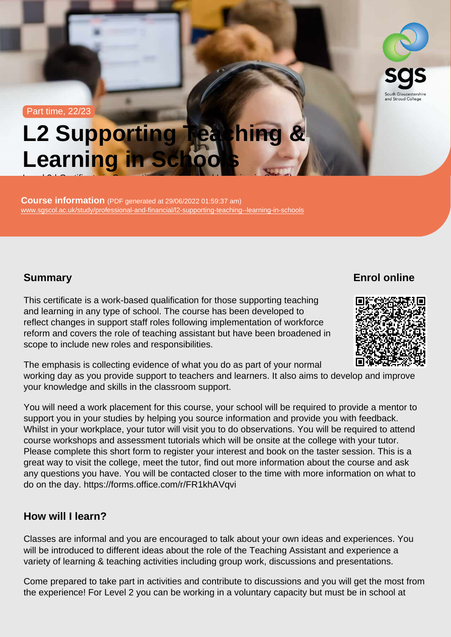Part time, 22/23

# L2 Supporting Teaching & Learning in Schools

Course information (PDF generated at 29/06/2022 01:59:37 am) [www.sgscol.ac.uk/study/professional-and-financial/l2-supporting-teaching--learning-in-schools](https://www.sgscol.ac.uk/study/professional-and-financial/l2-supporting-teaching--learning-in-schools)

Level 2 | Certification in Supporting Teaching  $\mathcal{L}$ 

## **Summary**

Enrol online

This certificate is a work-based qualification for those supporting teaching and learning in any type of school. The course has been developed to reflect changes in support staff roles following implementation of workforce reform and covers the role of teaching assistant but have been broadened in scope to include new roles and responsibilities.

The emphasis is collecting evidence of what you do as part of your normal working day as you provide support to teachers and learners. It also aims to develop and improve your knowledge and skills in the classroom support.

You will need a work placement for this course, your school will be required to provide a mentor to support you in your studies by helping you source information and provide you with feedback. Whilst in your workplace, your tutor will visit you to do observations. You will be required to attend course workshops and assessment tutorials which will be onsite at the college with your tutor. Please complete this short form to register your interest and book on the taster session. This is a great way to visit the college, meet the tutor, find out more information about the course and ask any questions you have. You will be contacted closer to the time with more information on what to do on the day. https://forms.office.com/r/FR1khAVqvi

How will I learn?

Classes are informal and you are encouraged to talk about your own ideas and experiences. You will be introduced to different ideas about the role of the Teaching Assistant and experience a variety of learning & teaching activities including group work, discussions and presentations.

Come prepared to take part in activities and contribute to discussions and you will get the most from the experience! For Level 2 you can be working in a voluntary capacity but must be in school at